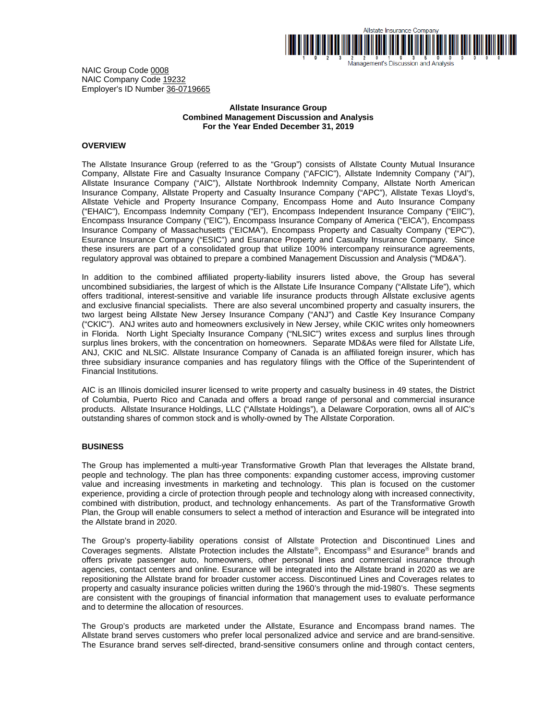

Management's Discussion and Analysis

NAIC Group Code 0008 NAIC Company Code 19232 Employer's ID Number 36-0719665

# **Allstate Insurance Group Combined Management Discussion and Analysis For the Year Ended December 31, 2019**

# **OVERVIEW**

The Allstate Insurance Group (referred to as the "Group") consists of Allstate County Mutual Insurance Company, Allstate Fire and Casualty Insurance Company ("AFCIC"), Allstate Indemnity Company ("AI"), Allstate Insurance Company ("AIC"), Allstate Northbrook Indemnity Company, Allstate North American Insurance Company, Allstate Property and Casualty Insurance Company ("APC"), Allstate Texas Lloyd's, Allstate Vehicle and Property Insurance Company, Encompass Home and Auto Insurance Company ("EHAIC"), Encompass Indemnity Company ("EI"), Encompass Independent Insurance Company ("EIIC"), Encompass Insurance Company ("EIC"), Encompass Insurance Company of America ("EICA"), Encompass Insurance Company of Massachusetts ("EICMA"), Encompass Property and Casualty Company ("EPC"), Esurance Insurance Company ("ESIC") and Esurance Property and Casualty Insurance Company. Since these insurers are part of a consolidated group that utilize 100% intercompany reinsurance agreements, regulatory approval was obtained to prepare a combined Management Discussion and Analysis ("MD&A").

In addition to the combined affiliated property-liability insurers listed above, the Group has several uncombined subsidiaries, the largest of which is the Allstate Life Insurance Company ("Allstate Life"), which offers traditional, interest-sensitive and variable life insurance products through Allstate exclusive agents and exclusive financial specialists. There are also several uncombined property and casualty insurers, the two largest being Allstate New Jersey Insurance Company ("ANJ") and Castle Key Insurance Company ("CKIC"). ANJ writes auto and homeowners exclusively in New Jersey, while CKIC writes only homeowners in Florida. North Light Specialty Insurance Company ("NLSIC") writes excess and surplus lines through surplus lines brokers, with the concentration on homeowners. Separate MD&As were filed for Allstate Life, ANJ, CKIC and NLSIC. Allstate Insurance Company of Canada is an affiliated foreign insurer, which has three subsidiary insurance companies and has regulatory filings with the Office of the Superintendent of Financial Institutions.

AIC is an Illinois domiciled insurer licensed to write property and casualty business in 49 states, the District of Columbia, Puerto Rico and Canada and offers a broad range of personal and commercial insurance products. Allstate Insurance Holdings, LLC ("Allstate Holdings"), a Delaware Corporation, owns all of AIC's outstanding shares of common stock and is wholly-owned by The Allstate Corporation.

# **BUSINESS**

The Group has implemented a multi-year Transformative Growth Plan that leverages the Allstate brand, people and technology. The plan has three components: expanding customer access, improving customer value and increasing investments in marketing and technology. This plan is focused on the customer experience, providing a circle of protection through people and technology along with increased connectivity, combined with distribution, product, and technology enhancements. As part of the Transformative Growth Plan, the Group will enable consumers to select a method of interaction and Esurance will be integrated into the Allstate brand in 2020.

The Group's property-liability operations consist of Allstate Protection and Discontinued Lines and Coverages segments. Allstate Protection includes the Allstate®, Encompass® and Esurance® brands and offers private passenger auto, homeowners, other personal lines and commercial insurance through agencies, contact centers and online. Esurance will be integrated into the Allstate brand in 2020 as we are repositioning the Allstate brand for broader customer access. Discontinued Lines and Coverages relates to property and casualty insurance policies written during the 1960's through the mid-1980's. These segments are consistent with the groupings of financial information that management uses to evaluate performance and to determine the allocation of resources.

The Group's products are marketed under the Allstate, Esurance and Encompass brand names. The Allstate brand serves customers who prefer local personalized advice and service and are brand-sensitive. The Esurance brand serves self-directed, brand-sensitive consumers online and through contact centers,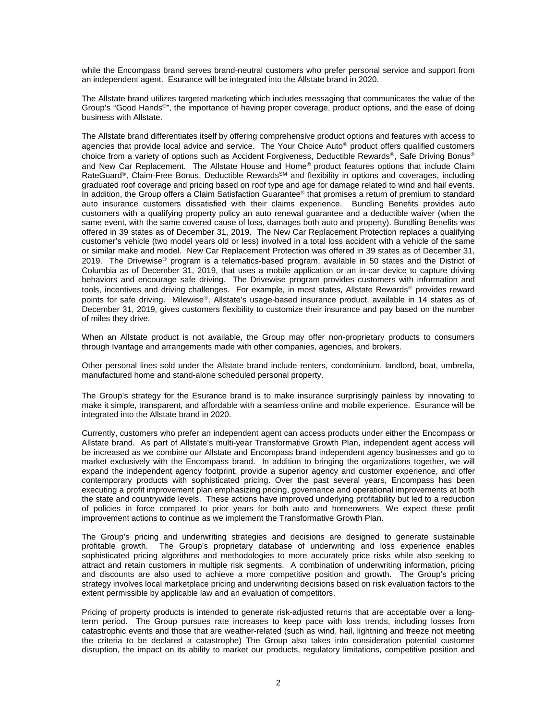while the Encompass brand serves brand-neutral customers who prefer personal service and support from an independent agent. Esurance will be integrated into the Allstate brand in 2020.

The Allstate brand utilizes targeted marketing which includes messaging that communicates the value of the Group's "Good Hands®", the importance of having proper coverage, product options, and the ease of doing business with Allstate.

The Allstate brand differentiates itself by offering comprehensive product options and features with access to agencies that provide local advice and service. The Your Choice  $Auto^{\circ}$  product offers qualified customers choice from a variety of options such as Accident Forgiveness, Deductible Rewards®, Safe Driving Bonus® and New Car Replacement. The Allstate House and Home® product features options that include Claim RateGuard®, Claim-Free Bonus, Deductible Rewards<sup>SM</sup> and flexibility in options and coverages, including graduated roof coverage and pricing based on roof type and age for damage related to wind and hail events. In addition, the Group offers a Claim Satisfaction Guarantee® that promises a return of premium to standard auto insurance customers dissatisfied with their claims experience. Bundling Benefits provides auto customers with a qualifying property policy an auto renewal guarantee and a deductible waiver (when the same event, with the same covered cause of loss, damages both auto and property). Bundling Benefits was offered in 39 states as of December 31, 2019. The New Car Replacement Protection replaces a qualifying customer's vehicle (two model years old or less) involved in a total loss accident with a vehicle of the same or similar make and model. New Car Replacement Protection was offered in 39 states as of December 31, 2019. The Drivewise® program is a telematics-based program, available in 50 states and the District of Columbia as of December 31, 2019, that uses a mobile application or an in-car device to capture driving behaviors and encourage safe driving. The Drivewise program provides customers with information and tools, incentives and driving challenges. For example, in most states, Allstate Rewards<sup>®</sup> provides reward points for safe driving. Milewise®, Allstate's usage-based insurance product, available in 14 states as of December 31, 2019, gives customers flexibility to customize their insurance and pay based on the number of miles they drive.

When an Allstate product is not available, the Group may offer non-proprietary products to consumers through Ivantage and arrangements made with other companies, agencies, and brokers.

Other personal lines sold under the Allstate brand include renters, condominium, landlord, boat, umbrella, manufactured home and stand-alone scheduled personal property.

The Group's strategy for the Esurance brand is to make insurance surprisingly painless by innovating to make it simple, transparent, and affordable with a seamless online and mobile experience. Esurance will be integrated into the Allstate brand in 2020.

Currently, customers who prefer an independent agent can access products under either the Encompass or Allstate brand. As part of Allstate's multi-year Transformative Growth Plan, independent agent access will be increased as we combine our Allstate and Encompass brand independent agency businesses and go to market exclusively with the Encompass brand. In addition to bringing the organizations together, we will expand the independent agency footprint, provide a superior agency and customer experience, and offer contemporary products with sophisticated pricing. Over the past several years, Encompass has been executing a profit improvement plan emphasizing pricing, governance and operational improvements at both the state and countrywide levels. These actions have improved underlying profitability but led to a reduction of policies in force compared to prior years for both auto and homeowners. We expect these profit improvement actions to continue as we implement the Transformative Growth Plan.

The Group's pricing and underwriting strategies and decisions are designed to generate sustainable profitable growth. The Group's proprietary database of underwriting and loss experience enables sophisticated pricing algorithms and methodologies to more accurately price risks while also seeking to attract and retain customers in multiple risk segments. A combination of underwriting information, pricing and discounts are also used to achieve a more competitive position and growth. The Group's pricing strategy involves local marketplace pricing and underwriting decisions based on risk evaluation factors to the extent permissible by applicable law and an evaluation of competitors.

Pricing of property products is intended to generate risk-adjusted returns that are acceptable over a longterm period. The Group pursues rate increases to keep pace with loss trends, including losses from catastrophic events and those that are weather-related (such as wind, hail, lightning and freeze not meeting the criteria to be declared a catastrophe) The Group also takes into consideration potential customer disruption, the impact on its ability to market our products, regulatory limitations, competitive position and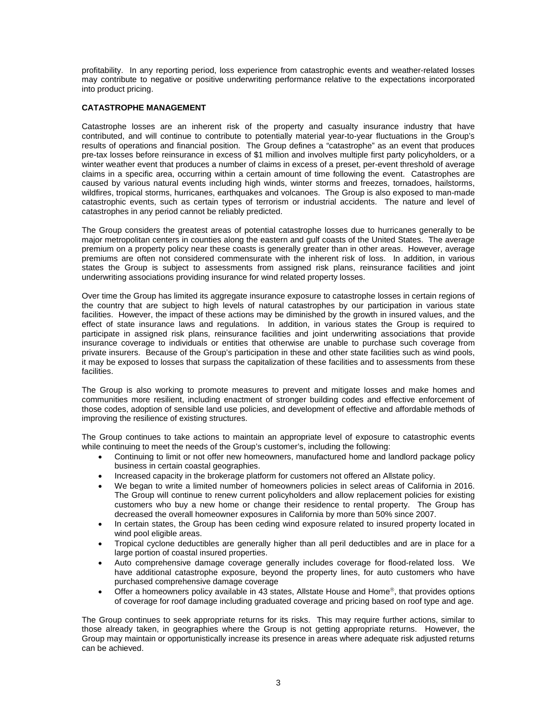profitability. In any reporting period, loss experience from catastrophic events and weather-related losses may contribute to negative or positive underwriting performance relative to the expectations incorporated into product pricing.

# **CATASTROPHE MANAGEMENT**

Catastrophe losses are an inherent risk of the property and casualty insurance industry that have contributed, and will continue to contribute to potentially material year-to-year fluctuations in the Group's results of operations and financial position. The Group defines a "catastrophe" as an event that produces pre-tax losses before reinsurance in excess of \$1 million and involves multiple first party policyholders, or a winter weather event that produces a number of claims in excess of a preset, per-event threshold of average claims in a specific area, occurring within a certain amount of time following the event. Catastrophes are caused by various natural events including high winds, winter storms and freezes, tornadoes, hailstorms, wildfires, tropical storms, hurricanes, earthquakes and volcanoes. The Group is also exposed to man-made catastrophic events, such as certain types of terrorism or industrial accidents. The nature and level of catastrophes in any period cannot be reliably predicted.

The Group considers the greatest areas of potential catastrophe losses due to hurricanes generally to be major metropolitan centers in counties along the eastern and gulf coasts of the United States. The average premium on a property policy near these coasts is generally greater than in other areas. However, average premiums are often not considered commensurate with the inherent risk of loss. In addition, in various states the Group is subject to assessments from assigned risk plans, reinsurance facilities and joint underwriting associations providing insurance for wind related property losses.

Over time the Group has limited its aggregate insurance exposure to catastrophe losses in certain regions of the country that are subject to high levels of natural catastrophes by our participation in various state facilities. However, the impact of these actions may be diminished by the growth in insured values, and the effect of state insurance laws and regulations. In addition, in various states the Group is required to participate in assigned risk plans, reinsurance facilities and joint underwriting associations that provide insurance coverage to individuals or entities that otherwise are unable to purchase such coverage from private insurers. Because of the Group's participation in these and other state facilities such as wind pools, it may be exposed to losses that surpass the capitalization of these facilities and to assessments from these facilities.

The Group is also working to promote measures to prevent and mitigate losses and make homes and communities more resilient, including enactment of stronger building codes and effective enforcement of those codes, adoption of sensible land use policies, and development of effective and affordable methods of improving the resilience of existing structures.

The Group continues to take actions to maintain an appropriate level of exposure to catastrophic events while continuing to meet the needs of the Group's customer's, including the following:

- Continuing to limit or not offer new homeowners, manufactured home and landlord package policy business in certain coastal geographies.
- Increased capacity in the brokerage platform for customers not offered an Allstate policy.
- We began to write a limited number of homeowners policies in select areas of California in 2016. The Group will continue to renew current policyholders and allow replacement policies for existing customers who buy a new home or change their residence to rental property. The Group has decreased the overall homeowner exposures in California by more than 50% since 2007.
- In certain states, the Group has been ceding wind exposure related to insured property located in wind pool eligible areas.
- Tropical cyclone deductibles are generally higher than all peril deductibles and are in place for a large portion of coastal insured properties.
- Auto comprehensive damage coverage generally includes coverage for flood-related loss. We have additional catastrophe exposure, beyond the property lines, for auto customers who have purchased comprehensive damage coverage
- Offer a homeowners policy available in 43 states, Allstate House and Home<sup>®</sup>, that provides options of coverage for roof damage including graduated coverage and pricing based on roof type and age.

The Group continues to seek appropriate returns for its risks. This may require further actions, similar to those already taken, in geographies where the Group is not getting appropriate returns. However, the Group may maintain or opportunistically increase its presence in areas where adequate risk adjusted returns can be achieved.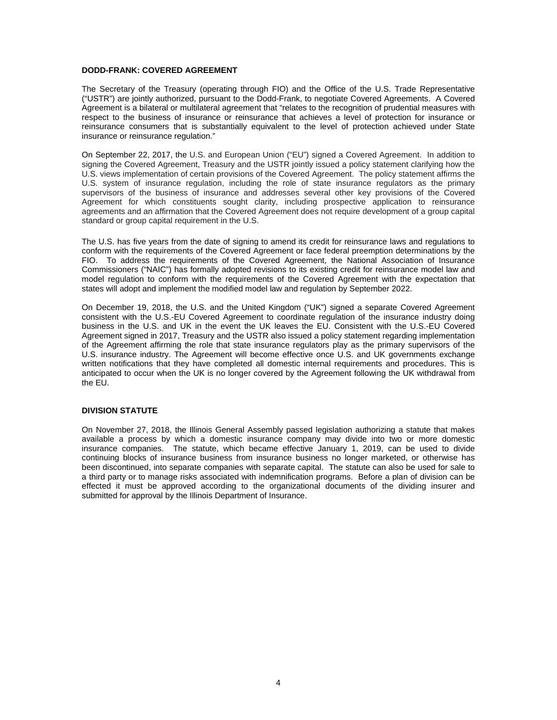### **DODD-FRANK: COVERED AGREEMENT**

The Secretary of the Treasury (operating through FIO) and the Office of the U.S. Trade Representative ("USTR") are jointly authorized, pursuant to the Dodd-Frank, to negotiate Covered Agreements. A Covered Agreement is a bilateral or multilateral agreement that "relates to the recognition of prudential measures with respect to the business of insurance or reinsurance that achieves a level of protection for insurance or reinsurance consumers that is substantially equivalent to the level of protection achieved under State insurance or reinsurance regulation."

On September 22, 2017, the U.S. and European Union ("EU") signed a Covered Agreement. In addition to signing the Covered Agreement, Treasury and the USTR jointly issued a policy statement clarifying how the U.S. views implementation of certain provisions of the Covered Agreement. The policy statement affirms the U.S. system of insurance regulation, including the role of state insurance regulators as the primary supervisors of the business of insurance and addresses several other key provisions of the Covered Agreement for which constituents sought clarity, including prospective application to reinsurance agreements and an affirmation that the Covered Agreement does not require development of a group capital standard or group capital requirement in the U.S.

The U.S. has five years from the date of signing to amend its credit for reinsurance laws and regulations to conform with the requirements of the Covered Agreement or face federal preemption determinations by the FIO. To address the requirements of the Covered Agreement, the National Association of Insurance Commissioners ("NAIC") has formally adopted revisions to its existing credit for reinsurance model law and model regulation to conform with the requirements of the Covered Agreement with the expectation that states will adopt and implement the modified model law and regulation by September 2022.

On December 19, 2018, the U.S. and the United Kingdom ("UK") signed a separate Covered Agreement consistent with the U.S.-EU Covered Agreement to coordinate regulation of the insurance industry doing business in the U.S. and UK in the event the UK leaves the EU. Consistent with the U.S.-EU Covered Agreement signed in 2017, Treasury and the USTR also issued a policy statement regarding implementation of the Agreement affirming the role that state insurance regulators play as the primary supervisors of the U.S. insurance industry. The Agreement will become effective once U.S. and UK governments exchange written notifications that they have completed all domestic internal requirements and procedures. This is anticipated to occur when the UK is no longer covered by the Agreement following the UK withdrawal from the EU.

### **DIVISION STATUTE**

On November 27, 2018, the Illinois General Assembly passed legislation authorizing a statute that makes available a process by which a domestic insurance company may divide into two or more domestic insurance companies. The statute, which became effective January 1, 2019, can be used to divide continuing blocks of insurance business from insurance business no longer marketed, or otherwise has been discontinued, into separate companies with separate capital. The statute can also be used for sale to a third party or to manage risks associated with indemnification programs. Before a plan of division can be effected it must be approved according to the organizational documents of the dividing insurer and submitted for approval by the Illinois Department of Insurance.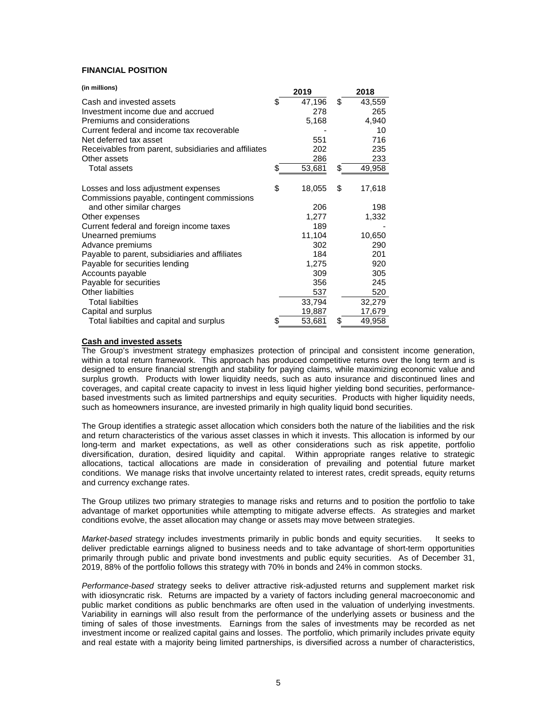# **FINANCIAL POSITION**

| (in millions)                                        | 2019         | 2018         |
|------------------------------------------------------|--------------|--------------|
| Cash and invested assets                             | \$<br>47,196 | \$<br>43,559 |
| Investment income due and accrued                    | 278          | 265          |
| Premiums and considerations                          | 5,168        | 4,940        |
| Current federal and income tax recoverable           |              | 10           |
| Net deferred tax asset                               | 551          | 716          |
| Receivables from parent, subsidiaries and affiliates | 202          | 235          |
| Other assets                                         | 286          | 233          |
| <b>Total assets</b>                                  | \$<br>53,681 | \$<br>49,958 |
|                                                      |              |              |
| Losses and loss adjustment expenses                  | \$<br>18,055 | \$<br>17,618 |
| Commissions payable, contingent commissions          |              |              |
| and other similar charges                            | 206          | 198          |
| Other expenses                                       | 1,277        | 1,332        |
| Current federal and foreign income taxes             | 189          |              |
| Unearned premiums                                    | 11,104       | 10,650       |
| Advance premiums                                     | 302          | 290          |
| Payable to parent, subsidiaries and affiliates       | 184          | 201          |
| Payable for securities lending                       | 1,275        | 920          |
| Accounts payable                                     | 309          | 305          |
| Payable for securities                               | 356          | 245          |
| Other liabilties                                     | 537          | 520          |
| <b>Total liabilties</b>                              | 33,794       | 32,279       |
| Capital and surplus                                  | 19,887       | 17,679       |
| Total liabilties and capital and surplus             | \$<br>53,681 | \$<br>49,958 |

# **Cash and invested assets**

The Group's investment strategy emphasizes protection of principal and consistent income generation, within a total return framework. This approach has produced competitive returns over the long term and is designed to ensure financial strength and stability for paying claims, while maximizing economic value and surplus growth. Products with lower liquidity needs, such as auto insurance and discontinued lines and coverages, and capital create capacity to invest in less liquid higher yielding bond securities, performancebased investments such as limited partnerships and equity securities. Products with higher liquidity needs, such as homeowners insurance, are invested primarily in high quality liquid bond securities.

The Group identifies a strategic asset allocation which considers both the nature of the liabilities and the risk and return characteristics of the various asset classes in which it invests. This allocation is informed by our long-term and market expectations, as well as other considerations such as risk appetite, portfolio diversification, duration, desired liquidity and capital. Within appropriate ranges relative to strategic allocations, tactical allocations are made in consideration of prevailing and potential future market conditions. We manage risks that involve uncertainty related to interest rates, credit spreads, equity returns and currency exchange rates.

The Group utilizes two primary strategies to manage risks and returns and to position the portfolio to take advantage of market opportunities while attempting to mitigate adverse effects. As strategies and market conditions evolve, the asset allocation may change or assets may move between strategies.

*Market-based* strategy includes investments primarily in public bonds and equity securities. It seeks to deliver predictable earnings aligned to business needs and to take advantage of short-term opportunities primarily through public and private bond investments and public equity securities. As of December 31, 2019, 88% of the portfolio follows this strategy with 70% in bonds and 24% in common stocks.

*Performance-based* strategy seeks to deliver attractive risk-adjusted returns and supplement market risk with idiosyncratic risk. Returns are impacted by a variety of factors including general macroeconomic and public market conditions as public benchmarks are often used in the valuation of underlying investments. Variability in earnings will also result from the performance of the underlying assets or business and the timing of sales of those investments. Earnings from the sales of investments may be recorded as net investment income or realized capital gains and losses. The portfolio, which primarily includes private equity and real estate with a majority being limited partnerships, is diversified across a number of characteristics,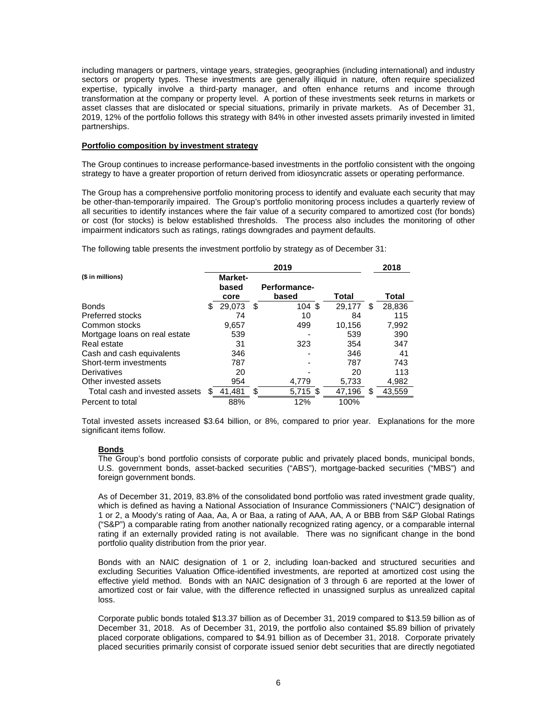including managers or partners, vintage years, strategies, geographies (including international) and industry sectors or property types. These investments are generally illiquid in nature, often require specialized expertise, typically involve a third-party manager, and often enhance returns and income through transformation at the company or property level. A portion of these investments seek returns in markets or asset classes that are dislocated or special situations, primarily in private markets. As of December 31, 2019, 12% of the portfolio follows this strategy with 84% in other invested assets primarily invested in limited partnerships.

### **Portfolio composition by investment strategy**

The Group continues to increase performance-based investments in the portfolio consistent with the ongoing strategy to have a greater proportion of return derived from idiosyncratic assets or operating performance.

The Group has a comprehensive portfolio monitoring process to identify and evaluate each security that may be other-than-temporarily impaired. The Group's portfolio monitoring process includes a quarterly review of all securities to identify instances where the fair value of a security compared to amortized cost (for bonds) or cost (for stocks) is below established thresholds. The process also includes the monitoring of other impairment indicators such as ratings, ratings downgrades and payment defaults.

The following table presents the investment portfolio by strategy as of December 31:

|                                | 2019 |                |   |              |  |        | 2018 |        |
|--------------------------------|------|----------------|---|--------------|--|--------|------|--------|
| (\$ in millions)               |      | <b>Market-</b> |   |              |  |        |      |        |
|                                |      | based          |   | Performance- |  |        |      |        |
|                                |      | core           |   | based        |  | Total  |      | Total  |
| <b>Bonds</b>                   | \$.  | 29.073         | S | 104S         |  | 29.177 | S    | 28,836 |
| Preferred stocks               |      | 74             |   | 10           |  | 84     |      | 115    |
| Common stocks                  |      | 9,657          |   | 499          |  | 10.156 |      | 7,992  |
| Mortgage loans on real estate  |      | 539            |   |              |  | 539    |      | 390    |
| Real estate                    |      | 31             |   | 323          |  | 354    |      | 347    |
| Cash and cash equivalents      |      | 346            |   |              |  | 346    |      | 41     |
| Short-term investments         |      | 787            |   |              |  | 787    |      | 743    |
| Derivatives                    |      | 20             |   |              |  | 20     |      | 113    |
| Other invested assets          |      | 954            |   | 4,779        |  | 5,733  |      | 4,982  |
| Total cash and invested assets |      | 41.481         | S | 5,715 \$     |  | 47,196 | \$.  | 43,559 |
| Percent to total               |      | 88%            |   | 12%          |  | 100%   |      |        |

Total invested assets increased \$3.64 billion, or 8%, compared to prior year. Explanations for the more significant items follow.

# **Bonds**

The Group's bond portfolio consists of corporate public and privately placed bonds, municipal bonds, U.S. government bonds, asset-backed securities ("ABS"), mortgage-backed securities ("MBS") and foreign government bonds.

As of December 31, 2019, 83.8% of the consolidated bond portfolio was rated investment grade quality, which is defined as having a National Association of Insurance Commissioners ("NAIC") designation of 1 or 2, a Moody's rating of Aaa, Aa, A or Baa, a rating of AAA, AA, A or BBB from S&P Global Ratings ("S&P") a comparable rating from another nationally recognized rating agency, or a comparable internal rating if an externally provided rating is not available. There was no significant change in the bond portfolio quality distribution from the prior year.

Bonds with an NAIC designation of 1 or 2, including loan-backed and structured securities and excluding Securities Valuation Office-identified investments, are reported at amortized cost using the effective yield method. Bonds with an NAIC designation of 3 through 6 are reported at the lower of amortized cost or fair value, with the difference reflected in unassigned surplus as unrealized capital loss.

Corporate public bonds totaled \$13.37 billion as of December 31, 2019 compared to \$13.59 billion as of December 31, 2018. As of December 31, 2019, the portfolio also contained \$5.89 billion of privately placed corporate obligations, compared to \$4.91 billion as of December 31, 2018. Corporate privately placed securities primarily consist of corporate issued senior debt securities that are directly negotiated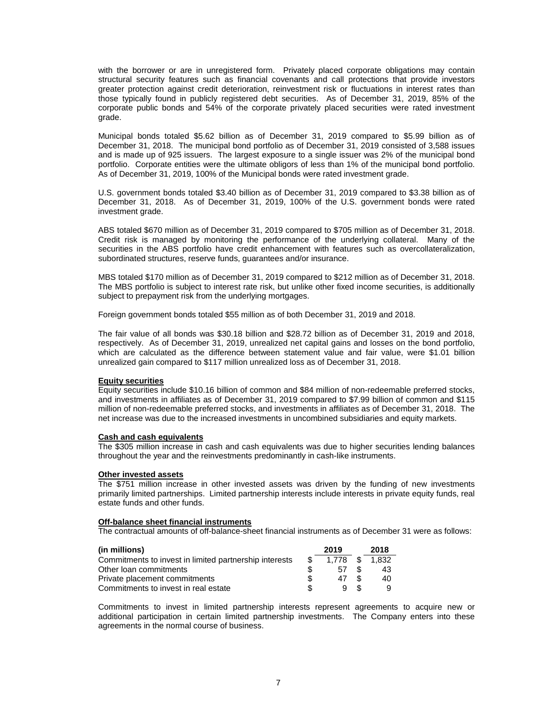with the borrower or are in unregistered form. Privately placed corporate obligations may contain structural security features such as financial covenants and call protections that provide investors greater protection against credit deterioration, reinvestment risk or fluctuations in interest rates than those typically found in publicly registered debt securities. As of December 31, 2019, 85% of the corporate public bonds and 54% of the corporate privately placed securities were rated investment grade.

Municipal bonds totaled \$5.62 billion as of December 31, 2019 compared to \$5.99 billion as of December 31, 2018. The municipal bond portfolio as of December 31, 2019 consisted of 3,588 issues and is made up of 925 issuers. The largest exposure to a single issuer was 2% of the municipal bond portfolio. Corporate entities were the ultimate obligors of less than 1% of the municipal bond portfolio. As of December 31, 2019, 100% of the Municipal bonds were rated investment grade.

U.S. government bonds totaled \$3.40 billion as of December 31, 2019 compared to \$3.38 billion as of December 31, 2018. As of December 31, 2019, 100% of the U.S. government bonds were rated investment grade.

ABS totaled \$670 million as of December 31, 2019 compared to \$705 million as of December 31, 2018. Credit risk is managed by monitoring the performance of the underlying collateral. Many of the securities in the ABS portfolio have credit enhancement with features such as overcollateralization, subordinated structures, reserve funds, guarantees and/or insurance.

MBS totaled \$170 million as of December 31, 2019 compared to \$212 million as of December 31, 2018. The MBS portfolio is subject to interest rate risk, but unlike other fixed income securities, is additionally subject to prepayment risk from the underlying mortgages.

Foreign government bonds totaled \$55 million as of both December 31, 2019 and 2018.

The fair value of all bonds was \$30.18 billion and \$28.72 billion as of December 31, 2019 and 2018, respectively. As of December 31, 2019, unrealized net capital gains and losses on the bond portfolio, which are calculated as the difference between statement value and fair value, were \$1.01 billion unrealized gain compared to \$117 million unrealized loss as of December 31, 2018.

#### **Equity securities**

Equity securities include \$10.16 billion of common and \$84 million of non-redeemable preferred stocks, and investments in affiliates as of December 31, 2019 compared to \$7.99 billion of common and \$115 million of non-redeemable preferred stocks, and investments in affiliates as of December 31, 2018. The net increase was due to the increased investments in uncombined subsidiaries and equity markets.

#### **Cash and cash equivalents**

The \$305 million increase in cash and cash equivalents was due to higher securities lending balances throughout the year and the reinvestments predominantly in cash-like instruments.

#### **Other invested assets**

The \$751 million increase in other invested assets was driven by the funding of new investments primarily limited partnerships. Limited partnership interests include interests in private equity funds, real estate funds and other funds.

#### **Off-balance sheet financial instruments**

The contractual amounts of off-balance-sheet financial instruments as of December 31 were as follows:

| (in millions)                                          | 2019  |    | 2018  |
|--------------------------------------------------------|-------|----|-------|
| Commitments to invest in limited partnership interests | 1.778 |    | 1.832 |
| Other loan commitments                                 | 57    |    | 43    |
| Private placement commitments                          | 47    | S. | 40    |
| Commitments to invest in real estate                   |       | £. |       |

Commitments to invest in limited partnership interests represent agreements to acquire new or additional participation in certain limited partnership investments. The Company enters into these agreements in the normal course of business.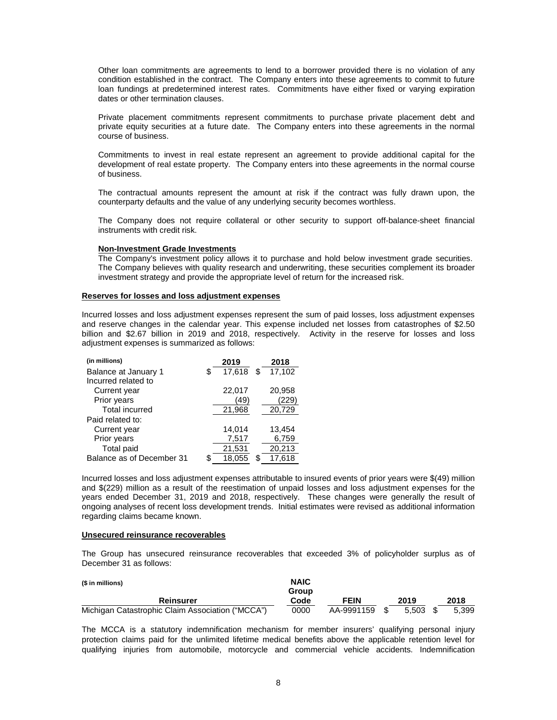Other loan commitments are agreements to lend to a borrower provided there is no violation of any condition established in the contract. The Company enters into these agreements to commit to future loan fundings at predetermined interest rates. Commitments have either fixed or varying expiration dates or other termination clauses.

Private placement commitments represent commitments to purchase private placement debt and private equity securities at a future date. The Company enters into these agreements in the normal course of business.

Commitments to invest in real estate represent an agreement to provide additional capital for the development of real estate property. The Company enters into these agreements in the normal course of business.

The contractual amounts represent the amount at risk if the contract was fully drawn upon, the counterparty defaults and the value of any underlying security becomes worthless.

The Company does not require collateral or other security to support off-balance-sheet financial instruments with credit risk.

#### **Non-Investment Grade Investments**

The Company's investment policy allows it to purchase and hold below investment grade securities. The Company believes with quality research and underwriting, these securities complement its broader investment strategy and provide the appropriate level of return for the increased risk.

### **Reserves for losses and loss adjustment expenses**

Incurred losses and loss adjustment expenses represent the sum of paid losses, loss adjustment expenses and reserve changes in the calendar year. This expense included net losses from catastrophes of \$2.50 billion and \$2.67 billion in 2019 and 2018, respectively. Activity in the reserve for losses and loss adjustment expenses is summarized as follows:

| (in millions)             | 2019               | 2018   |
|---------------------------|--------------------|--------|
| Balance at January 1      | \$<br>17,618<br>\$ | 17,102 |
| Incurred related to       |                    |        |
| Current year              | 22,017             | 20,958 |
| Prior years               | (49)               | 229    |
| <b>Total incurred</b>     | 21,968             | 20,729 |
| Paid related to:          |                    |        |
| Current year              | 14,014             | 13,454 |
| Prior years               | 7,517              | 6,759  |
| <b>Total paid</b>         | 21,531             | 20,213 |
| Balance as of December 31 | 18.055             | 17.618 |

Incurred losses and loss adjustment expenses attributable to insured events of prior years were \$(49) million and \$(229) million as a result of the reestimation of unpaid losses and loss adjustment expenses for the years ended December 31, 2019 and 2018, respectively. These changes were generally the result of ongoing analyses of recent loss development trends. Initial estimates were revised as additional information regarding claims became known.

#### **Unsecured reinsurance recoverables**

The Group has unsecured reinsurance recoverables that exceeded 3% of policyholder surplus as of December 31 as follows:

| (\$ in millions)                                 | <b>NAIC</b>   |             |       |       |
|--------------------------------------------------|---------------|-------------|-------|-------|
| Reinsurer                                        | Group<br>Code | <b>FEIN</b> | 2019  | 2018  |
| Michigan Catastrophic Claim Association ("MCCA") | 0000          | AA-9991159  | 5.503 | 5.399 |

The MCCA is a statutory indemnification mechanism for member insurers' qualifying personal injury protection claims paid for the unlimited lifetime medical benefits above the applicable retention level for qualifying injuries from automobile, motorcycle and commercial vehicle accidents. Indemnification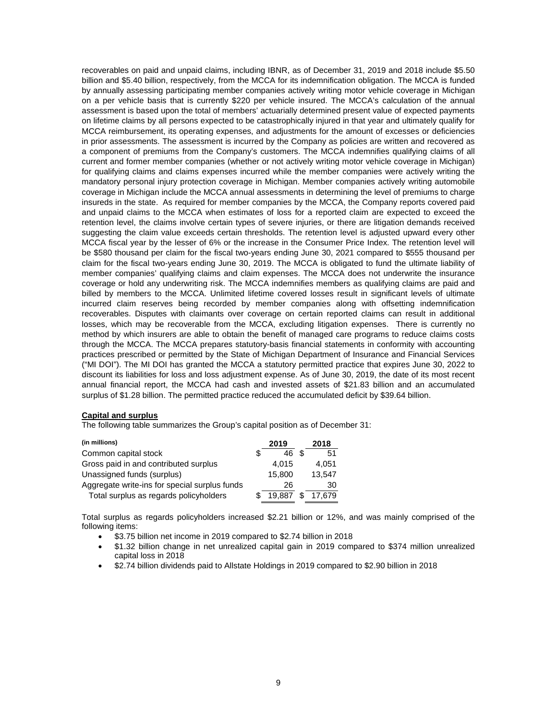recoverables on paid and unpaid claims, including IBNR, as of December 31, 2019 and 2018 include \$5.50 billion and \$5.40 billion, respectively, from the MCCA for its indemnification obligation. The MCCA is funded by annually assessing participating member companies actively writing motor vehicle coverage in Michigan on a per vehicle basis that is currently \$220 per vehicle insured. The MCCA's calculation of the annual assessment is based upon the total of members' actuarially determined present value of expected payments on lifetime claims by all persons expected to be catastrophically injured in that year and ultimately qualify for MCCA reimbursement, its operating expenses, and adjustments for the amount of excesses or deficiencies in prior assessments. The assessment is incurred by the Company as policies are written and recovered as a component of premiums from the Company's customers. The MCCA indemnifies qualifying claims of all current and former member companies (whether or not actively writing motor vehicle coverage in Michigan) for qualifying claims and claims expenses incurred while the member companies were actively writing the mandatory personal injury protection coverage in Michigan. Member companies actively writing automobile coverage in Michigan include the MCCA annual assessments in determining the level of premiums to charge insureds in the state. As required for member companies by the MCCA, the Company reports covered paid and unpaid claims to the MCCA when estimates of loss for a reported claim are expected to exceed the retention level, the claims involve certain types of severe injuries, or there are litigation demands received suggesting the claim value exceeds certain thresholds. The retention level is adjusted upward every other MCCA fiscal year by the lesser of 6% or the increase in the Consumer Price Index. The retention level will be \$580 thousand per claim for the fiscal two-years ending June 30, 2021 compared to \$555 thousand per claim for the fiscal two-years ending June 30, 2019. The MCCA is obligated to fund the ultimate liability of member companies' qualifying claims and claim expenses. The MCCA does not underwrite the insurance coverage or hold any underwriting risk. The MCCA indemnifies members as qualifying claims are paid and billed by members to the MCCA. Unlimited lifetime covered losses result in significant levels of ultimate incurred claim reserves being recorded by member companies along with offsetting indemnification recoverables. Disputes with claimants over coverage on certain reported claims can result in additional losses, which may be recoverable from the MCCA, excluding litigation expenses. There is currently no method by which insurers are able to obtain the benefit of managed care programs to reduce claims costs through the MCCA. The MCCA prepares statutory-basis financial statements in conformity with accounting practices prescribed or permitted by the State of Michigan Department of Insurance and Financial Services ("MI DOI"). The MI DOI has granted the MCCA a statutory permitted practice that expires June 30, 2022 to discount its liabilities for loss and loss adjustment expense. As of June 30, 2019, the date of its most recent annual financial report, the MCCA had cash and invested assets of \$21.83 billion and an accumulated surplus of \$1.28 billion. The permitted practice reduced the accumulated deficit by \$39.64 billion.

# **Capital and surplus**

The following table summarizes the Group's capital position as of December 31:

| (in millions)                                 | 2019   | 2018   |
|-----------------------------------------------|--------|--------|
| Common capital stock                          | 46     | 51     |
| Gross paid in and contributed surplus         | 4.015  | 4.051  |
| Unassigned funds (surplus)                    | 15.800 | 13.547 |
| Aggregate write-ins for special surplus funds | 26     | 30     |
| Total surplus as regards policyholders        | 19.887 | 17.679 |

Total surplus as regards policyholders increased \$2.21 billion or 12%, and was mainly comprised of the following items:

- \$3.75 billion net income in 2019 compared to \$2.74 billion in 2018
- \$1.32 billion change in net unrealized capital gain in 2019 compared to \$374 million unrealized capital loss in 2018
- \$2.74 billion dividends paid to Allstate Holdings in 2019 compared to \$2.90 billion in 2018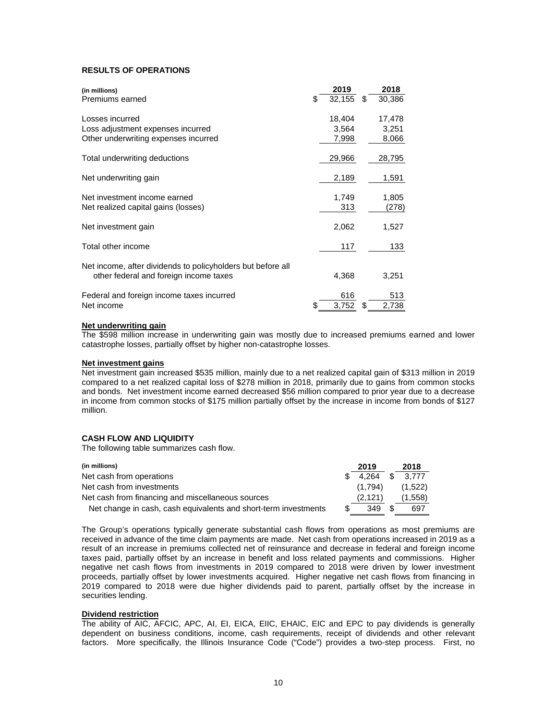# **RESULTS OF OPERATIONS**

| (in millions)                                               | 2019         |    | 2018   |
|-------------------------------------------------------------|--------------|----|--------|
| Premiums earned                                             | \$<br>32,155 | \$ | 30,386 |
| Losses incurred                                             | 18,404       |    | 17,478 |
| Loss adjustment expenses incurred                           | 3,564        |    | 3,251  |
| Other underwriting expenses incurred                        | 7,998        |    | 8,066  |
| Total underwriting deductions                               | 29,966       |    | 28,795 |
| Net underwriting gain                                       | 2,189        |    | 1,591  |
| Net investment income earned                                | 1,749        |    | 1,805  |
| Net realized capital gains (losses)                         | 313          |    | (278)  |
| Net investment gain                                         | 2,062        |    | 1,527  |
| Total other income                                          | 117          |    | 133    |
| Net income, after dividends to policyholders but before all |              |    |        |
| other federal and foreign income taxes                      | 4,368        |    | 3,251  |
| Federal and foreign income taxes incurred                   | 616          |    | 513    |
| Net income                                                  | \$<br>3,752  | S  | 2,738  |

### **Net underwriting gain**

The \$598 million increase in underwriting gain was mostly due to increased premiums earned and lower catastrophe losses, partially offset by higher non-catastrophe losses.

### **Net investment gains**

Net investment gain increased \$535 million, mainly due to a net realized capital gain of \$313 million in 2019 compared to a net realized capital loss of \$278 million in 2018, primarily due to gains from common stocks and bonds. Net investment income earned decreased \$56 million compared to prior year due to a decrease in income from common stocks of \$175 million partially offset by the increase in income from bonds of \$127 million.

# **CASH FLOW AND LIQUIDITY**

The following table summarizes cash flow.

| (in millions)                                                   | 2019    |     | 2018    |
|-----------------------------------------------------------------|---------|-----|---------|
| Net cash from operations                                        | 4.264   | \$. | 3.777   |
| Net cash from investments                                       | (1.794) |     | (1,522) |
| Net cash from financing and miscellaneous sources               | (2.121) |     | (1,558) |
| Net change in cash, cash equivalents and short-term investments | 349     |     | 697     |

The Group's operations typically generate substantial cash flows from operations as most premiums are received in advance of the time claim payments are made. Net cash from operations increased in 2019 as a result of an increase in premiums collected net of reinsurance and decrease in federal and foreign income taxes paid, partially offset by an increase in benefit and loss related payments and commissions. Higher negative net cash flows from investments in 2019 compared to 2018 were driven by lower investment proceeds, partially offset by lower investments acquired. Higher negative net cash flows from financing in 2019 compared to 2018 were due higher dividends paid to parent, partially offset by the increase in securities lending.

#### **Dividend restriction**

The ability of AIC, AFCIC, APC, AI, EI, EICA, EIIC, EHAIC, EIC and EPC to pay dividends is generally dependent on business conditions, income, cash requirements, receipt of dividends and other relevant factors. More specifically, the Illinois Insurance Code ("Code") provides a two-step process. First, no